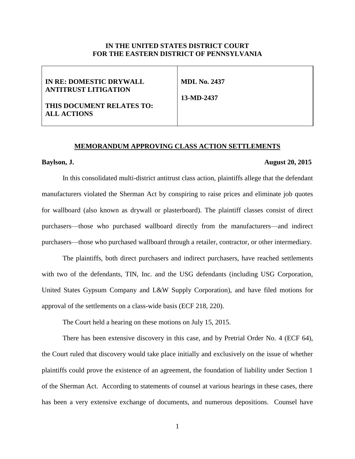### **IN THE UNITED STATES DISTRICT COURT FOR THE EASTERN DISTRICT OF PENNSYLVANIA**

| IN RE: DOMESTIC DRYWALL     | <b>MDL No. 2437</b> |
|-----------------------------|---------------------|
| <b>ANTITRUST LITIGATION</b> |                     |
|                             | 13-MD-2437          |
| THIS DOCUMENT RELATES TO:   |                     |
| ALL ACTIONS                 |                     |
|                             |                     |

#### **MEMORANDUM APPROVING CLASS ACTION SETTLEMENTS**

## **Baylson, J. August 20, 2015**

In this consolidated multi-district antitrust class action, plaintiffs allege that the defendant manufacturers violated the Sherman Act by conspiring to raise prices and eliminate job quotes for wallboard (also known as drywall or plasterboard). The plaintiff classes consist of direct purchasers—those who purchased wallboard directly from the manufacturers—and indirect purchasers—those who purchased wallboard through a retailer, contractor, or other intermediary.

The plaintiffs, both direct purchasers and indirect purchasers, have reached settlements with two of the defendants, TIN, Inc. and the USG defendants (including USG Corporation, United States Gypsum Company and L&W Supply Corporation), and have filed motions for approval of the settlements on a class-wide basis (ECF 218, 220).

The Court held a hearing on these motions on July 15, 2015.

There has been extensive discovery in this case, and by Pretrial Order No. 4 (ECF 64), the Court ruled that discovery would take place initially and exclusively on the issue of whether plaintiffs could prove the existence of an agreement, the foundation of liability under Section 1 of the Sherman Act. According to statements of counsel at various hearings in these cases, there has been a very extensive exchange of documents, and numerous depositions. Counsel have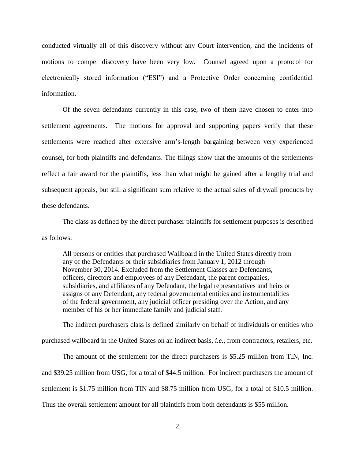conducted virtually all of this discovery without any Court intervention, and the incidents of motions to compel discovery have been very low. Counsel agreed upon a protocol for electronically stored information ("ESI") and a Protective Order concerning confidential information.

Of the seven defendants currently in this case, two of them have chosen to enter into settlement agreements. The motions for approval and supporting papers verify that these settlements were reached after extensive arm's-length bargaining between very experienced counsel, for both plaintiffs and defendants. The filings show that the amounts of the settlements reflect a fair award for the plaintiffs, less than what might be gained after a lengthy trial and subsequent appeals, but still a significant sum relative to the actual sales of drywall products by these defendants.

The class as defined by the direct purchaser plaintiffs for settlement purposes is described as follows:

All persons or entities that purchased Wallboard in the United States directly from any of the Defendants or their subsidiaries from January 1, 2012 through November 30, 2014. Excluded from the Settlement Classes are Defendants, officers, directors and employees of any Defendant, the parent companies, subsidiaries, and affiliates of any Defendant, the legal representatives and heirs or assigns of any Defendant, any federal governmental entities and instrumentalities of the federal government, any judicial officer presiding over the Action, and any member of his or her immediate family and judicial staff.

The indirect purchasers class is defined similarly on behalf of individuals or entities who purchased wallboard in the United States on an indirect basis, *i.e.*, from contractors, retailers, etc.

The amount of the settlement for the direct purchasers is \$5.25 million from TIN, Inc. and \$39.25 million from USG, for a total of \$44.5 million. For indirect purchasers the amount of settlement is \$1.75 million from TIN and \$8.75 million from USG, for a total of \$10.5 million. Thus the overall settlement amount for all plaintiffs from both defendants is \$55 million.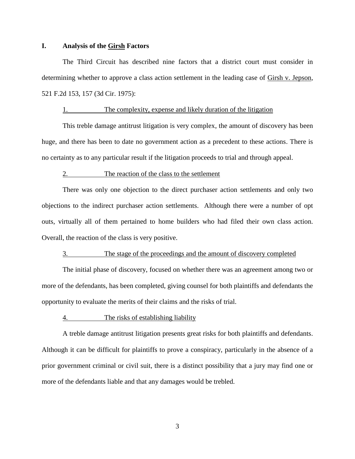#### **I. Analysis of the Girsh Factors**

The Third Circuit has described nine factors that a district court must consider in determining whether to approve a class action settlement in the leading case of Girsh v. Jepson, 521 F.2d 153, 157 (3d Cir. 1975):

## 1. The complexity, expense and likely duration of the litigation

This treble damage antitrust litigation is very complex, the amount of discovery has been huge, and there has been to date no government action as a precedent to these actions. There is no certainty as to any particular result if the litigation proceeds to trial and through appeal.

#### 2. The reaction of the class to the settlement

There was only one objection to the direct purchaser action settlements and only two objections to the indirect purchaser action settlements. Although there were a number of opt outs, virtually all of them pertained to home builders who had filed their own class action. Overall, the reaction of the class is very positive.

# 3. The stage of the proceedings and the amount of discovery completed

The initial phase of discovery, focused on whether there was an agreement among two or more of the defendants*,* has been completed, giving counsel for both plaintiffs and defendants the opportunity to evaluate the merits of their claims and the risks of trial.

#### 4. The risks of establishing liability

A treble damage antitrust litigation presents great risks for both plaintiffs and defendants. Although it can be difficult for plaintiffs to prove a conspiracy, particularly in the absence of a prior government criminal or civil suit, there is a distinct possibility that a jury may find one or more of the defendants liable and that any damages would be trebled.

3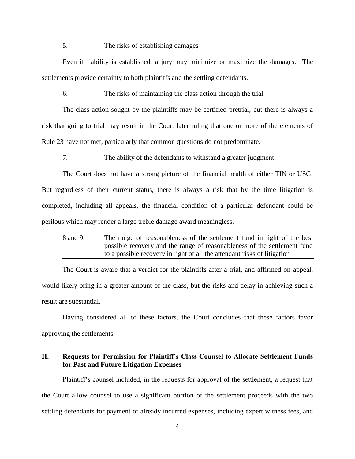#### 5. The risks of establishing damages

Even if liability is established, a jury may minimize or maximize the damages. The settlements provide certainty to both plaintiffs and the settling defendants.

#### 6. The risks of maintaining the class action through the trial

The class action sought by the plaintiffs may be certified pretrial, but there is always a risk that going to trial may result in the Court later ruling that one or more of the elements of Rule 23 have not met, particularly that common questions do not predominate.

#### 7. The ability of the defendants to withstand a greater judgment

The Court does not have a strong picture of the financial health of either TIN or USG. But regardless of their current status, there is always a risk that by the time litigation is completed, including all appeals, the financial condition of a particular defendant could be perilous which may render a large treble damage award meaningless.

8 and 9. The range of reasonableness of the settlement fund in light of the best possible recovery and the range of reasonableness of the settlement fund to a possible recovery in light of all the attendant risks of litigation

The Court is aware that a verdict for the plaintiffs after a trial, and affirmed on appeal, would likely bring in a greater amount of the class, but the risks and delay in achieving such a result are substantial.

Having considered all of these factors, the Court concludes that these factors favor approving the settlements.

## **II. Requests for Permission for Plaintiff's Class Counsel to Allocate Settlement Funds for Past and Future Litigation Expenses**

Plaintiff's counsel included, in the requests for approval of the settlement, a request that the Court allow counsel to use a significant portion of the settlement proceeds with the two settling defendants for payment of already incurred expenses, including expert witness fees, and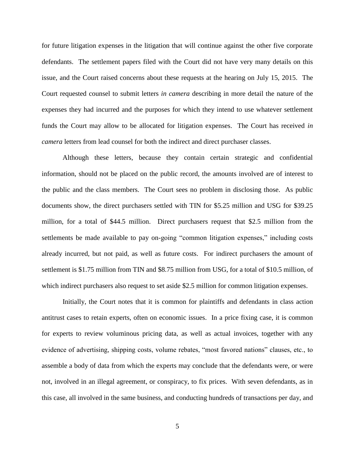for future litigation expenses in the litigation that will continue against the other five corporate defendants. The settlement papers filed with the Court did not have very many details on this issue, and the Court raised concerns about these requests at the hearing on July 15, 2015. The Court requested counsel to submit letters *in camera* describing in more detail the nature of the expenses they had incurred and the purposes for which they intend to use whatever settlement funds the Court may allow to be allocated for litigation expenses. The Court has received *in camera* letters from lead counsel for both the indirect and direct purchaser classes.

Although these letters, because they contain certain strategic and confidential information, should not be placed on the public record, the amounts involved are of interest to the public and the class members. The Court sees no problem in disclosing those. As public documents show, the direct purchasers settled with TIN for \$5.25 million and USG for \$39.25 million, for a total of \$44.5 million. Direct purchasers request that \$2.5 million from the settlements be made available to pay on-going "common litigation expenses," including costs already incurred, but not paid, as well as future costs. For indirect purchasers the amount of settlement is \$1.75 million from TIN and \$8.75 million from USG, for a total of \$10.5 million, of which indirect purchasers also request to set aside \$2.5 million for common litigation expenses.

Initially, the Court notes that it is common for plaintiffs and defendants in class action antitrust cases to retain experts, often on economic issues. In a price fixing case, it is common for experts to review voluminous pricing data, as well as actual invoices, together with any evidence of advertising, shipping costs, volume rebates, "most favored nations" clauses, etc., to assemble a body of data from which the experts may conclude that the defendants were, or were not, involved in an illegal agreement, or conspiracy, to fix prices. With seven defendants, as in this case, all involved in the same business, and conducting hundreds of transactions per day, and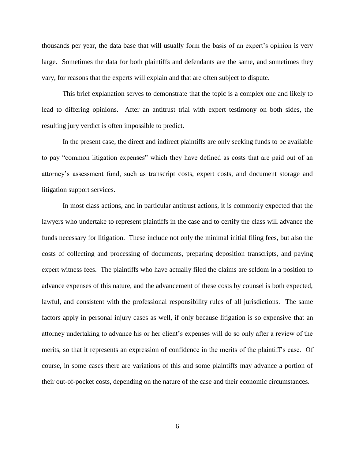thousands per year, the data base that will usually form the basis of an expert's opinion is very large. Sometimes the data for both plaintiffs and defendants are the same, and sometimes they vary, for reasons that the experts will explain and that are often subject to dispute.

This brief explanation serves to demonstrate that the topic is a complex one and likely to lead to differing opinions. After an antitrust trial with expert testimony on both sides, the resulting jury verdict is often impossible to predict.

In the present case, the direct and indirect plaintiffs are only seeking funds to be available to pay "common litigation expenses" which they have defined as costs that are paid out of an attorney's assessment fund, such as transcript costs, expert costs, and document storage and litigation support services.

In most class actions, and in particular antitrust actions, it is commonly expected that the lawyers who undertake to represent plaintiffs in the case and to certify the class will advance the funds necessary for litigation. These include not only the minimal initial filing fees, but also the costs of collecting and processing of documents, preparing deposition transcripts, and paying expert witness fees. The plaintiffs who have actually filed the claims are seldom in a position to advance expenses of this nature, and the advancement of these costs by counsel is both expected, lawful, and consistent with the professional responsibility rules of all jurisdictions. The same factors apply in personal injury cases as well, if only because litigation is so expensive that an attorney undertaking to advance his or her client's expenses will do so only after a review of the merits, so that it represents an expression of confidence in the merits of the plaintiff's case. Of course, in some cases there are variations of this and some plaintiffs may advance a portion of their out-of-pocket costs, depending on the nature of the case and their economic circumstances.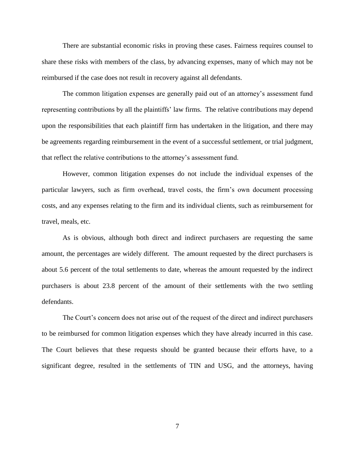There are substantial economic risks in proving these cases. Fairness requires counsel to share these risks with members of the class, by advancing expenses, many of which may not be reimbursed if the case does not result in recovery against all defendants.

The common litigation expenses are generally paid out of an attorney's assessment fund representing contributions by all the plaintiffs' law firms. The relative contributions may depend upon the responsibilities that each plaintiff firm has undertaken in the litigation, and there may be agreements regarding reimbursement in the event of a successful settlement, or trial judgment, that reflect the relative contributions to the attorney's assessment fund.

However, common litigation expenses do not include the individual expenses of the particular lawyers, such as firm overhead, travel costs, the firm's own document processing costs, and any expenses relating to the firm and its individual clients, such as reimbursement for travel, meals, etc.

As is obvious, although both direct and indirect purchasers are requesting the same amount, the percentages are widely different. The amount requested by the direct purchasers is about 5.6 percent of the total settlements to date, whereas the amount requested by the indirect purchasers is about 23.8 percent of the amount of their settlements with the two settling defendants.

The Court's concern does not arise out of the request of the direct and indirect purchasers to be reimbursed for common litigation expenses which they have already incurred in this case. The Court believes that these requests should be granted because their efforts have, to a significant degree, resulted in the settlements of TIN and USG, and the attorneys, having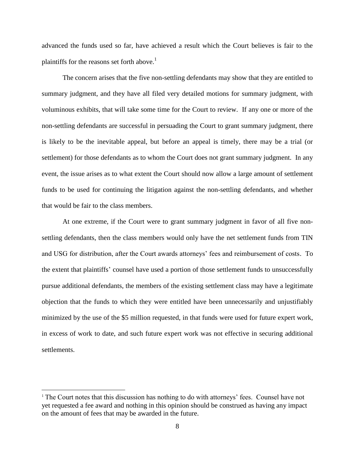advanced the funds used so far, have achieved a result which the Court believes is fair to the plaintiffs for the reasons set forth above.<sup>1</sup>

The concern arises that the five non-settling defendants may show that they are entitled to summary judgment, and they have all filed very detailed motions for summary judgment, with voluminous exhibits, that will take some time for the Court to review. If any one or more of the non-settling defendants are successful in persuading the Court to grant summary judgment, there is likely to be the inevitable appeal, but before an appeal is timely, there may be a trial (or settlement) for those defendants as to whom the Court does not grant summary judgment. In any event, the issue arises as to what extent the Court should now allow a large amount of settlement funds to be used for continuing the litigation against the non-settling defendants, and whether that would be fair to the class members.

At one extreme, if the Court were to grant summary judgment in favor of all five nonsettling defendants, then the class members would only have the net settlement funds from TIN and USG for distribution, after the Court awards attorneys' fees and reimbursement of costs. To the extent that plaintiffs' counsel have used a portion of those settlement funds to unsuccessfully pursue additional defendants, the members of the existing settlement class may have a legitimate objection that the funds to which they were entitled have been unnecessarily and unjustifiably minimized by the use of the \$5 million requested, in that funds were used for future expert work, in excess of work to date, and such future expert work was not effective in securing additional settlements.

 $\overline{a}$ 

 $<sup>1</sup>$  The Court notes that this discussion has nothing to do with attorneys' fees. Counsel have not</sup> yet requested a fee award and nothing in this opinion should be construed as having any impact on the amount of fees that may be awarded in the future.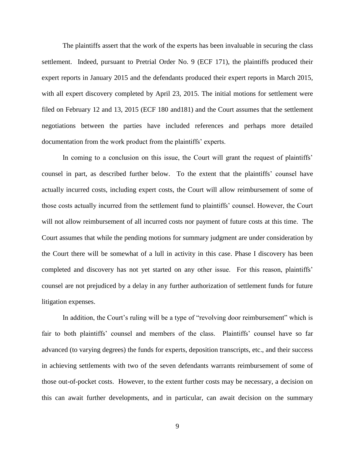The plaintiffs assert that the work of the experts has been invaluable in securing the class settlement. Indeed, pursuant to Pretrial Order No. 9 (ECF 171), the plaintiffs produced their expert reports in January 2015 and the defendants produced their expert reports in March 2015, with all expert discovery completed by April 23, 2015. The initial motions for settlement were filed on February 12 and 13, 2015 (ECF 180 and181) and the Court assumes that the settlement negotiations between the parties have included references and perhaps more detailed documentation from the work product from the plaintiffs' experts.

In coming to a conclusion on this issue, the Court will grant the request of plaintiffs' counsel in part, as described further below. To the extent that the plaintiffs' counsel have actually incurred costs, including expert costs, the Court will allow reimbursement of some of those costs actually incurred from the settlement fund to plaintiffs' counsel. However, the Court will not allow reimbursement of all incurred costs nor payment of future costs at this time. The Court assumes that while the pending motions for summary judgment are under consideration by the Court there will be somewhat of a lull in activity in this case. Phase I discovery has been completed and discovery has not yet started on any other issue. For this reason, plaintiffs' counsel are not prejudiced by a delay in any further authorization of settlement funds for future litigation expenses.

In addition, the Court's ruling will be a type of "revolving door reimbursement" which is fair to both plaintiffs' counsel and members of the class. Plaintiffs' counsel have so far advanced (to varying degrees) the funds for experts, deposition transcripts, etc., and their success in achieving settlements with two of the seven defendants warrants reimbursement of some of those out-of-pocket costs. However, to the extent further costs may be necessary, a decision on this can await further developments, and in particular, can await decision on the summary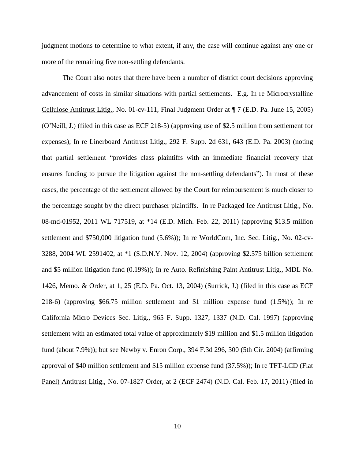judgment motions to determine to what extent, if any, the case will continue against any one or more of the remaining five non-settling defendants.

The Court also notes that there have been a number of district court decisions approving advancement of costs in similar situations with partial settlements. E.g. In re Microcrystalline Cellulose Antitrust Litig., No. 01-cv-111, Final Judgment Order at ¶ 7 (E.D. Pa. June 15, 2005) (O'Neill, J.) (filed in this case as ECF 218-5) (approving use of \$2.5 million from settlement for expenses); In re Linerboard Antitrust Litig., 292 F. Supp. 2d 631, 643 (E.D. Pa. 2003) (noting that partial settlement "provides class plaintiffs with an immediate financial recovery that ensures funding to pursue the litigation against the non-settling defendants"). In most of these cases, the percentage of the settlement allowed by the Court for reimbursement is much closer to the percentage sought by the direct purchaser plaintiffs. In re Packaged Ice Antitrust Litig., No. 08-md-01952, 2011 WL 717519, at \*14 (E.D. Mich. Feb. 22, 2011) (approving \$13.5 million settlement and \$750,000 litigation fund (5.6%)); In re WorldCom, Inc. Sec. Litig., No. 02-cv-3288, 2004 WL 2591402, at \*1 (S.D.N.Y. Nov. 12, 2004) (approving \$2.575 billion settlement and \$5 million litigation fund (0.19%)); In re Auto. Refinishing Paint Antitrust Litig., MDL No. 1426, Memo. & Order, at 1, 25 (E.D. Pa. Oct. 13, 2004) (Surrick, J.) (filed in this case as ECF 218-6) (approving \$66.75 million settlement and \$1 million expense fund (1.5%)); In re California Micro Devices Sec. Litig., 965 F. Supp. 1327, 1337 (N.D. Cal. 1997) (approving settlement with an estimated total value of approximately \$19 million and \$1.5 million litigation fund (about 7.9%)); but see Newby v. Enron Corp., 394 F.3d 296, 300 (5th Cir. 2004) (affirming approval of \$40 million settlement and \$15 million expense fund (37.5%)); In re TFT-LCD (Flat Panel) Antitrust Litig., No. 07-1827 Order, at 2 (ECF 2474) (N.D. Cal. Feb. 17, 2011) (filed in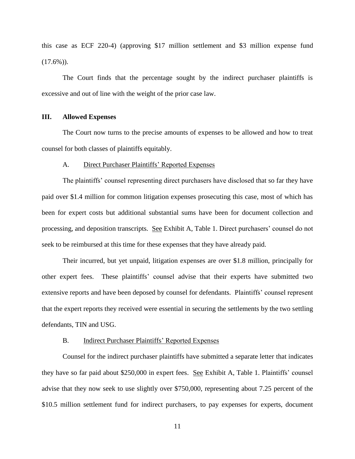this case as ECF 220-4) (approving \$17 million settlement and \$3 million expense fund  $(17.6\%)$ .

The Court finds that the percentage sought by the indirect purchaser plaintiffs is excessive and out of line with the weight of the prior case law.

#### **III. Allowed Expenses**

The Court now turns to the precise amounts of expenses to be allowed and how to treat counsel for both classes of plaintiffs equitably.

#### A. Direct Purchaser Plaintiffs' Reported Expenses

The plaintiffs' counsel representing direct purchasers have disclosed that so far they have paid over \$1.4 million for common litigation expenses prosecuting this case, most of which has been for expert costs but additional substantial sums have been for document collection and processing, and deposition transcripts. See Exhibit A, Table 1. Direct purchasers' counsel do not seek to be reimbursed at this time for these expenses that they have already paid.

Their incurred, but yet unpaid, litigation expenses are over \$1.8 million, principally for other expert fees. These plaintiffs' counsel advise that their experts have submitted two extensive reports and have been deposed by counsel for defendants. Plaintiffs' counsel represent that the expert reports they received were essential in securing the settlements by the two settling defendants, TIN and USG.

#### B. Indirect Purchaser Plaintiffs' Reported Expenses

Counsel for the indirect purchaser plaintiffs have submitted a separate letter that indicates they have so far paid about \$250,000 in expert fees. See Exhibit A, Table 1. Plaintiffs' counsel advise that they now seek to use slightly over \$750,000, representing about 7.25 percent of the \$10.5 million settlement fund for indirect purchasers, to pay expenses for experts, document

11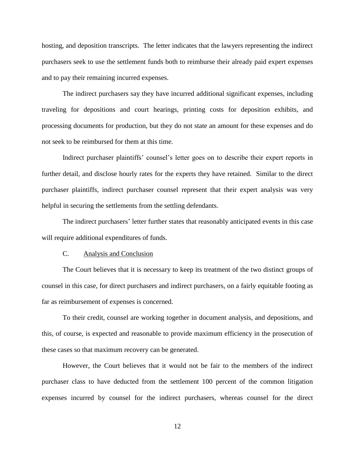hosting, and deposition transcripts. The letter indicates that the lawyers representing the indirect purchasers seek to use the settlement funds both to reimburse their already paid expert expenses and to pay their remaining incurred expenses.

The indirect purchasers say they have incurred additional significant expenses, including traveling for depositions and court hearings, printing costs for deposition exhibits, and processing documents for production, but they do not state an amount for these expenses and do not seek to be reimbursed for them at this time.

Indirect purchaser plaintiffs' counsel's letter goes on to describe their expert reports in further detail, and disclose hourly rates for the experts they have retained. Similar to the direct purchaser plaintiffs, indirect purchaser counsel represent that their expert analysis was very helpful in securing the settlements from the settling defendants.

The indirect purchasers' letter further states that reasonably anticipated events in this case will require additional expenditures of funds.

#### C. Analysis and Conclusion

The Court believes that it is necessary to keep its treatment of the two distinct groups of counsel in this case, for direct purchasers and indirect purchasers, on a fairly equitable footing as far as reimbursement of expenses is concerned.

To their credit, counsel are working together in document analysis, and depositions, and this, of course, is expected and reasonable to provide maximum efficiency in the prosecution of these cases so that maximum recovery can be generated.

However, the Court believes that it would not be fair to the members of the indirect purchaser class to have deducted from the settlement 100 percent of the common litigation expenses incurred by counsel for the indirect purchasers, whereas counsel for the direct

12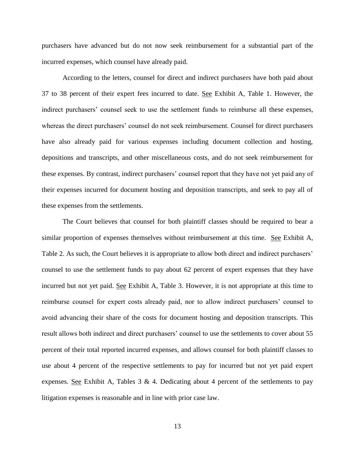purchasers have advanced but do not now seek reimbursement for a substantial part of the incurred expenses, which counsel have already paid.

According to the letters, counsel for direct and indirect purchasers have both paid about 37 to 38 percent of their expert fees incurred to date. See Exhibit A, Table 1. However, the indirect purchasers' counsel seek to use the settlement funds to reimburse all these expenses, whereas the direct purchasers' counsel do not seek reimbursement. Counsel for direct purchasers have also already paid for various expenses including document collection and hosting, depositions and transcripts, and other miscellaneous costs, and do not seek reimbursement for these expenses. By contrast, indirect purchasers' counsel report that they have not yet paid any of their expenses incurred for document hosting and deposition transcripts, and seek to pay all of these expenses from the settlements.

The Court believes that counsel for both plaintiff classes should be required to bear a similar proportion of expenses themselves without reimbursement at this time. See Exhibit A, Table 2. As such, the Court believes it is appropriate to allow both direct and indirect purchasers' counsel to use the settlement funds to pay about 62 percent of expert expenses that they have incurred but not yet paid. See Exhibit A, Table 3. However, it is not appropriate at this time to reimburse counsel for expert costs already paid, nor to allow indirect purchasers' counsel to avoid advancing their share of the costs for document hosting and deposition transcripts. This result allows both indirect and direct purchasers' counsel to use the settlements to cover about 55 percent of their total reported incurred expenses, and allows counsel for both plaintiff classes to use about 4 percent of the respective settlements to pay for incurred but not yet paid expert expenses. See Exhibit A, Tables  $3 \& 4$ . Dedicating about 4 percent of the settlements to pay litigation expenses is reasonable and in line with prior case law.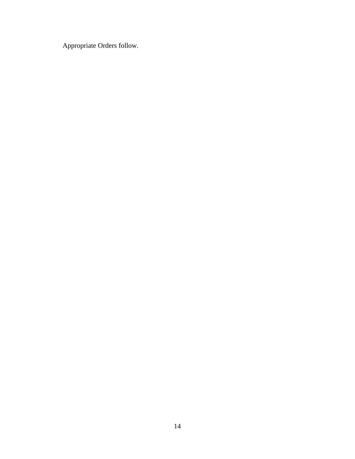Appropriate Orders follow.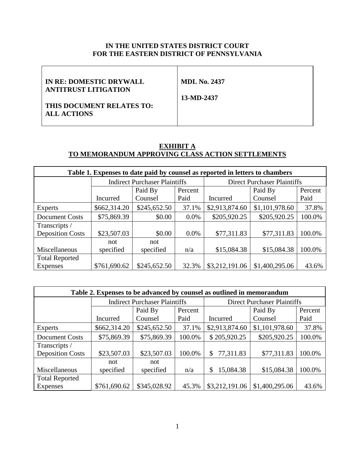## **IN THE UNITED STATES DISTRICT COURT FOR THE EASTERN DISTRICT OF PENNSYLVANIA**

| IN RE: DOMESTIC DRYWALL     | <b>MDL No. 2437</b> |
|-----------------------------|---------------------|
| <b>ANTITRUST LITIGATION</b> |                     |
|                             | 13-MD-2437          |
| THIS DOCUMENT RELATES TO:   |                     |
| <b>ALL ACTIONS</b>          |                     |
|                             |                     |

## **EXHIBIT A TO MEMORANDUM APPROVING CLASS ACTION SETTLEMENTS**

| Table 1. Expenses to date paid by counsel as reported in letters to chambers |                                      |                    |         |                                    |                |         |
|------------------------------------------------------------------------------|--------------------------------------|--------------------|---------|------------------------------------|----------------|---------|
|                                                                              | <b>Indirect Purchaser Plaintiffs</b> |                    |         | <b>Direct Purchaser Plaintiffs</b> |                |         |
|                                                                              |                                      | Paid By<br>Percent |         |                                    | Paid By        | Percent |
|                                                                              | Incurred                             | Counsel            | Paid    | Incurred                           | Counsel        | Paid    |
| Experts                                                                      | \$662,314.20                         | \$245,652.50       | 37.1%   | \$2,913,874.60                     | \$1,101,978.60 | 37.8%   |
| Document Costs                                                               | \$75,869.39                          | \$0.00             | $0.0\%$ | \$205,920.25                       | \$205,920.25   | 100.0%  |
| Transcripts /                                                                |                                      |                    |         |                                    |                |         |
| <b>Deposition Costs</b>                                                      | \$23,507.03                          | \$0.00             | $0.0\%$ | \$77,311.83                        | \$77,311.83    | 100.0%  |
|                                                                              | not                                  | not                |         |                                    |                |         |
| Miscellaneous                                                                | specified                            | specified          | n/a     | \$15,084.38                        | \$15,084.38    | 100.0%  |
| <b>Total Reported</b>                                                        |                                      |                    |         |                                    |                |         |
| Expenses                                                                     | \$761,690.62                         | \$245,652.50       | 32.3%   | \$3,212,191.06                     | \$1,400,295.06 | 43.6%   |

| Table 2. Expenses to be advanced by counsel as outlined in memorandum |                                      |              |         |                                    |                |         |
|-----------------------------------------------------------------------|--------------------------------------|--------------|---------|------------------------------------|----------------|---------|
|                                                                       | <b>Indirect Purchaser Plaintiffs</b> |              |         | <b>Direct Purchaser Plaintiffs</b> |                |         |
|                                                                       |                                      | Paid By      | Percent |                                    | Paid By        | Percent |
|                                                                       | Incurred                             | Counsel      | Paid    | Incurred                           | Counsel        | Paid    |
| Experts                                                               | \$662,314.20                         | \$245,652.50 | 37.1%   | \$2,913,874.60                     | \$1,101,978.60 | 37.8%   |
| Document Costs                                                        | \$75,869.39                          | \$75,869.39  | 100.0%  | \$205,920.25                       | \$205,920.25   | 100.0%  |
| Transcripts /                                                         |                                      |              |         |                                    |                |         |
| <b>Deposition Costs</b>                                               | \$23,507.03                          | \$23,507.03  | 100.0%  | 77,311.83<br>\$                    | \$77,311.83    | 100.0%  |
|                                                                       | not                                  | not          |         |                                    |                |         |
| Miscellaneous                                                         | specified                            | specified    | n/a     | 15,084.38<br>\$                    | \$15,084.38    | 100.0%  |
| <b>Total Reported</b>                                                 |                                      |              |         |                                    |                |         |
| <b>Expenses</b>                                                       | \$761,690.62                         | \$345,028.92 | 45.3%   | \$3,212,191.06                     | \$1,400,295.06 | 43.6%   |